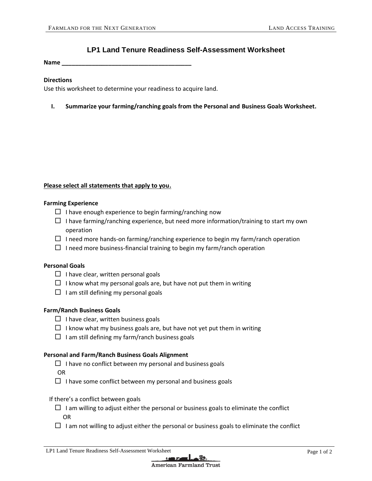# **LP1 Land Tenure Readiness Self-Assessment Worksheet**

**Name \_\_\_\_\_\_\_\_\_\_\_\_\_\_\_\_\_\_\_\_\_\_\_\_\_\_\_\_\_\_\_\_\_\_\_\_\_\_\_**

#### **Directions**

Use this worksheet to determine your readiness to acquire land.

**I. Summarize your farming/ranching goals from the Personal and Business Goals Worksheet.**

### **Please select all statements that apply to you.**

#### **Farming Experience**

- $\Box$  I have enough experience to begin farming/ranching now
- $\Box$  I have farming/ranching experience, but need more information/training to start my own operation
- $\Box$  I need more hands-on farming/ranching experience to begin my farm/ranch operation
- $\Box$  I need more business-financial training to begin my farm/ranch operation

# **Personal Goals**

- $\Box$  I have clear, written personal goals
- $\Box$  I know what my personal goals are, but have not put them in writing
- $\Box$  I am still defining my personal goals

# **Farm/Ranch Business Goals**

- $\Box$  I have clear, written business goals
- $\Box$  I know what my business goals are, but have not yet put them in writing
- $\Box$  I am still defining my farm/ranch business goals

#### **Personal and Farm/Ranch Business Goals Alignment**

 $\Box$  I have no conflict between my personal and business goals

OR

 $\Box$  I have some conflict between my personal and business goals

#### If there's a conflict between goals

- $\Box$  I am willing to adjust either the personal or business goals to eliminate the conflict OR
- $\Box$  I am not willing to adjust either the personal or business goals to eliminate the conflict

LP1 Land Tenure Readiness Self-Assessment Worksheet Page 1 of 2